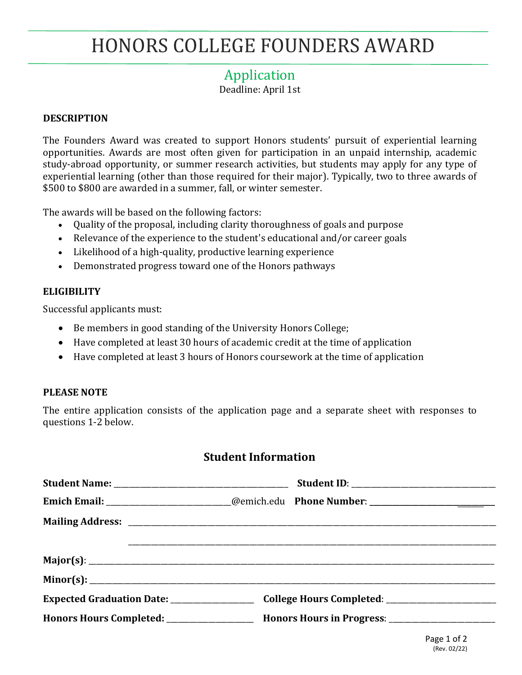# HONORS COLLEGE FOUNDERS AWARD

# Application

Deadline: April 1st

#### **DESCRIPTION**

The Founders Award was created to support Honors students' pursuit of experiential learning opportunities. Awards are most often given for participation in an unpaid internship, academic study-abroad opportunity, or summer research activities, but students may apply for any type of experiential learning (other than those required for their major). Typically, two to three awards of \$500 to \$800 are awarded in a summer, fall, or winter semester.

The awards will be based on the following factors:

- Quality of the proposal, including clarity thoroughness of goals and purpose
- Relevance of the experience to the student's educational and/or career goals
- Likelihood of a high-quality, productive learning experience
- Demonstrated progress toward one of the Honors pathways

#### **ELIGIBILITY**

Successful applicants must:

- Be members in good standing of the University Honors College;
- Have completed at least 30 hours of academic credit at the time of application
- Have completed at least 3 hours of Honors coursework at the time of application

#### **PLEASE NOTE**

The entire application consists of the application page and a separate sheet with responses to questions 1-2 below.

### **Student Information**

| Emich Email: ________________________@emich.edu Phone Number: __________________                              |
|---------------------------------------------------------------------------------------------------------------|
|                                                                                                               |
|                                                                                                               |
|                                                                                                               |
|                                                                                                               |
| Expected Graduation Date: __________________________________College Hours Completed: ________________________ |
| Honors Hours Completed: ____________________ Honors Hours in Progress: _____________________________          |